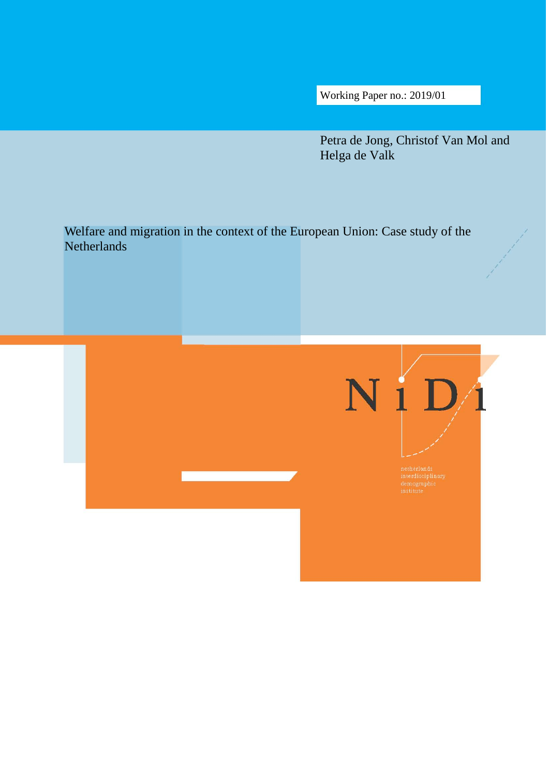Working Paper no.: 2019/01

Petra de Jong, Christof Van Mol and Helga de Valk

Welfare and migration in the context of the European Union: Case study of the Netherlands

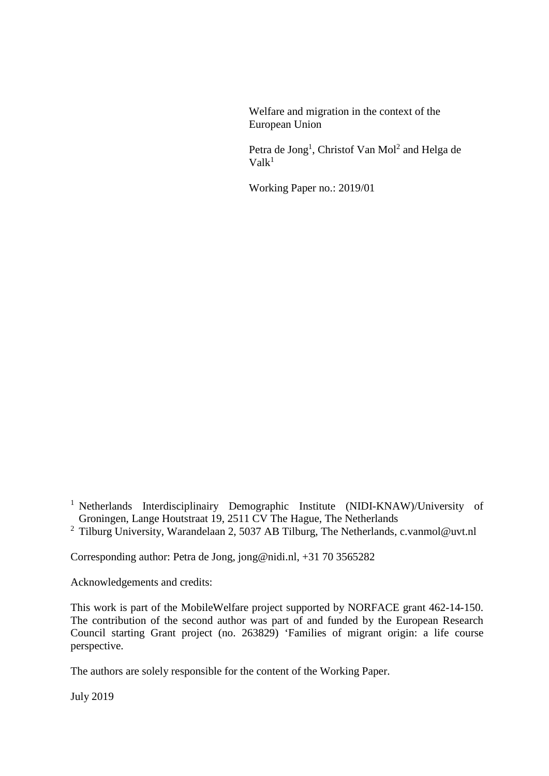Welfare and migration in the context of the European Union

Petra de Jong<sup>1</sup>, Christof Van Mol<sup>2</sup> and Helga de  $Valk<sup>1</sup>$ 

Working Paper no.: 2019/01

<sup>1</sup> Netherlands Interdisciplinairy Demographic Institute (NIDI-KNAW)/University of Groningen, Lange Houtstraat 19, 2511 CV The Hague, The Netherlands

<sup>2</sup> Tilburg University, Warandelaan 2, 5037 AB Tilburg, The Netherlands, c.vanmol@uvt.nl

Corresponding author: Petra de Jong, jong@nidi.nl, +31 70 3565282

Acknowledgements and credits:

This work is part of the MobileWelfare project supported by NORFACE grant 462-14-150. The contribution of the second author was part of and funded by the European Research Council starting Grant project (no. 263829) 'Families of migrant origin: a life course perspective.

The authors are solely responsible for the content of the Working Paper.

July 2019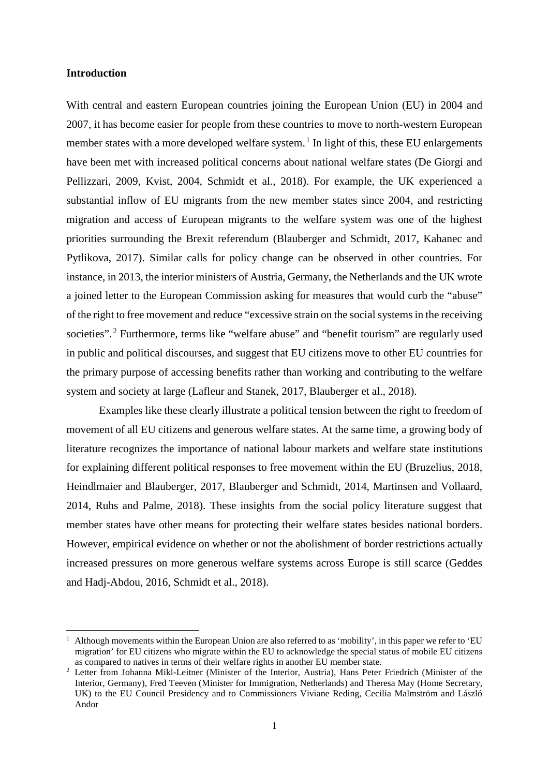# **Introduction**

With central and eastern European countries joining the European Union (EU) in 2004 and 2007, it has become easier for people from these countries to move to north-western European member states with a more developed welfare system.<sup>1</sup> In light of this, these EU enlargements have been met with increased political concerns about national welfare states [\(De Giorgi and](#page-19-0)  [Pellizzari, 2009,](#page-19-0) [Kvist, 2004,](#page-20-0) [Schmidt et al., 2018\)](#page-21-0). For example, the UK experienced a substantial inflow of EU migrants from the new member states since 2004, and restricting migration and access of European migrants to the welfare system was one of the highest priorities surrounding the Brexit referendum [\(Blauberger and Schmidt, 2017,](#page-19-1) [Kahanec and](#page-20-1)  [Pytlikova, 2017\)](#page-20-1). Similar calls for policy change can be observed in other countries. For instance, in 2013, the interior ministers of Austria, Germany, the Netherlands and the UK wrote a joined letter to the European Commission asking for measures that would curb the "abuse" of the right to free movement and reduce "excessive strain on the social systems in the receiving societies".<sup>2</sup> Furthermore, terms like "welfare abuse" and "benefit tourism" are regularly used in public and political discourses, and suggest that EU citizens move to other EU countries for the primary purpose of accessing benefits rather than working and contributing to the welfare system and society at large [\(Lafleur and Stanek, 2017,](#page-20-2) [Blauberger et al., 2018\)](#page-19-2).

Examples like these clearly illustrate a political tension between the right to freedom of movement of all EU citizens and generous welfare states. At the same time, a growing body of literature recognizes the importance of national labour markets and welfare state institutions for explaining different political responses to free movement within the EU [\(Bruzelius, 2018,](#page-19-3) [Heindlmaier and Blauberger, 2017,](#page-20-3) [Blauberger and Schmidt, 2014,](#page-19-4) [Martinsen and Vollaard,](#page-20-4)  [2014,](#page-20-4) [Ruhs and Palme, 2018\)](#page-21-1). These insights from the social policy literature suggest that member states have other means for protecting their welfare states besides national borders. However, empirical evidence on whether or not the abolishment of border restrictions actually increased pressures on more generous welfare systems across Europe is still scarce [\(Geddes](#page-20-5)  [and Hadj-Abdou, 2016,](#page-20-5) [Schmidt et al., 2018\)](#page-21-0).

 <sup>1</sup> Although movements within the European Union are also referred to as 'mobility', in this paper we refer to 'EU migration' for EU citizens who migrate within the EU to acknowledge the special status of mobile EU citizens as compared to natives in terms of their welfare rights in another EU member state.

<sup>&</sup>lt;sup>2</sup> Letter from Johanna Mikl-Leitner (Minister of the Interior, Austria), Hans Peter Friedrich (Minister of the Interior, Germany), Fred Teeven (Minister for Immigration, Netherlands) and Theresa May (Home Secretary, UK) to the EU Council Presidency and to Commissioners Viviane Reding, Cecilia Malmström and László Andor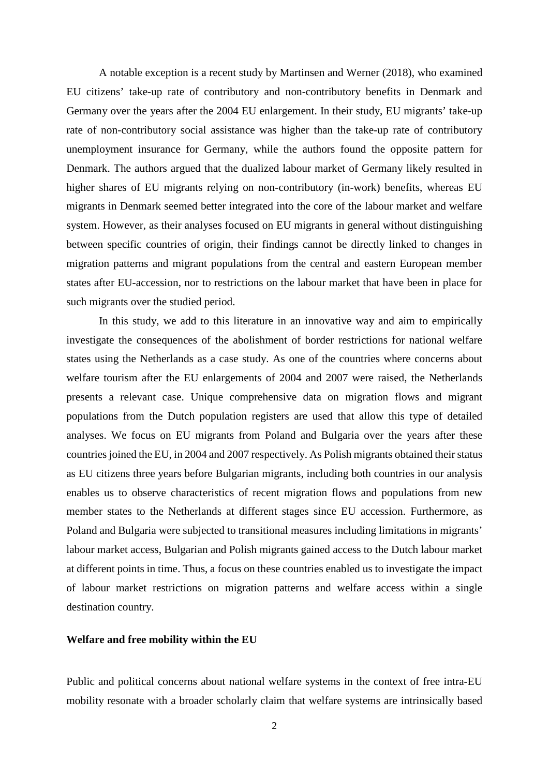A notable exception is a recent study by Martinsen and Werner [\(2018\)](#page-20-6), who examined EU citizens' take-up rate of contributory and non-contributory benefits in Denmark and Germany over the years after the 2004 EU enlargement. In their study, EU migrants' take-up rate of non-contributory social assistance was higher than the take-up rate of contributory unemployment insurance for Germany, while the authors found the opposite pattern for Denmark. The authors argued that the dualized labour market of Germany likely resulted in higher shares of EU migrants relying on non-contributory (in-work) benefits, whereas EU migrants in Denmark seemed better integrated into the core of the labour market and welfare system. However, as their analyses focused on EU migrants in general without distinguishing between specific countries of origin, their findings cannot be directly linked to changes in migration patterns and migrant populations from the central and eastern European member states after EU-accession, nor to restrictions on the labour market that have been in place for such migrants over the studied period.

In this study, we add to this literature in an innovative way and aim to empirically investigate the consequences of the abolishment of border restrictions for national welfare states using the Netherlands as a case study. As one of the countries where concerns about welfare tourism after the EU enlargements of 2004 and 2007 were raised, the Netherlands presents a relevant case. Unique comprehensive data on migration flows and migrant populations from the Dutch population registers are used that allow this type of detailed analyses. We focus on EU migrants from Poland and Bulgaria over the years after these countries joined the EU, in 2004 and 2007 respectively. As Polish migrants obtained their status as EU citizens three years before Bulgarian migrants, including both countries in our analysis enables us to observe characteristics of recent migration flows and populations from new member states to the Netherlands at different stages since EU accession. Furthermore, as Poland and Bulgaria were subjected to transitional measures including limitations in migrants' labour market access, Bulgarian and Polish migrants gained access to the Dutch labour market at different points in time. Thus, a focus on these countries enabled us to investigate the impact of labour market restrictions on migration patterns and welfare access within a single destination country.

# **Welfare and free mobility within the EU**

Public and political concerns about national welfare systems in the context of free intra-EU mobility resonate with a broader scholarly claim that welfare systems are intrinsically based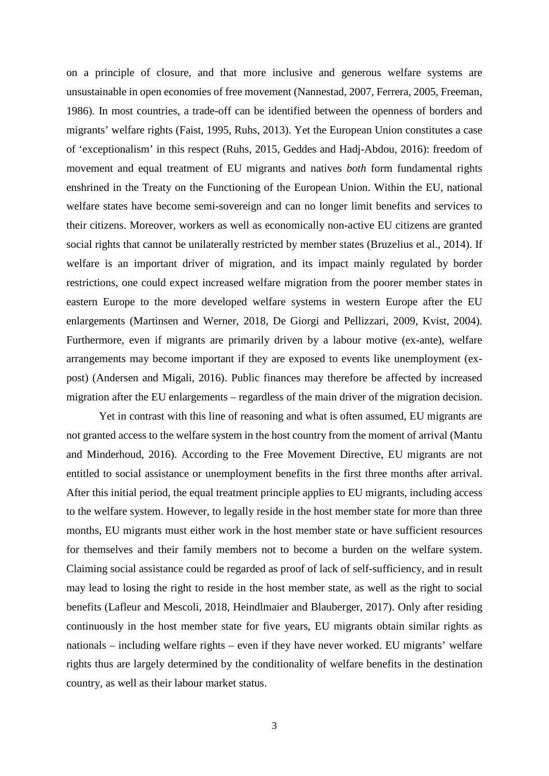on a principle of closure, and that more inclusive and generous welfare systems are unsustainable in open economies of free movement [\(Nannestad, 2007,](#page-20-7) [Ferrera, 2005,](#page-19-5) [Freeman,](#page-19-6)  [1986\)](#page-19-6). In most countries, a trade-off can be identified between the openness of borders and migrants' welfare rights [\(Faist, 1995,](#page-19-7) [Ruhs, 2013\)](#page-21-2). Yet the European Union constitutes a case of 'exceptionalism' in this respect [\(Ruhs, 2015,](#page-21-3) [Geddes and Hadj-Abdou, 2016\)](#page-20-5): freedom of movement and equal treatment of EU migrants and natives *both* form fundamental rights enshrined in the Treaty on the Functioning of the European Union. Within the EU, national welfare states have become semi-sovereign and can no longer limit benefits and services to their citizens. Moreover, workers as well as economically non-active EU citizens are granted social rights that cannot be unilaterally restricted by member states [\(Bruzelius et al., 2014\)](#page-19-8). If welfare is an important driver of migration, and its impact mainly regulated by border restrictions, one could expect increased welfare migration from the poorer member states in eastern Europe to the more developed welfare systems in western Europe after the EU enlargements [\(Martinsen and Werner, 2018,](#page-20-6) [De Giorgi and Pellizzari, 2009,](#page-19-0) [Kvist, 2004\)](#page-20-0). Furthermore, even if migrants are primarily driven by a labour motive (ex-ante), welfare arrangements may become important if they are exposed to events like unemployment (expost) [\(Andersen and Migali, 2016\)](#page-19-9). Public finances may therefore be affected by increased migration after the EU enlargements – regardless of the main driver of the migration decision.

Yet in contrast with this line of reasoning and what is often assumed, EU migrants are not granted access to the welfare system in the host country from the moment of arrival [\(Mantu](#page-20-8)  [and Minderhoud, 2016\)](#page-20-8). According to the Free Movement Directive, EU migrants are not entitled to social assistance or unemployment benefits in the first three months after arrival. After this initial period, the equal treatment principle applies to EU migrants, including access to the welfare system. However, to legally reside in the host member state for more than three months, EU migrants must either work in the host member state or have sufficient resources for themselves and their family members not to become a burden on the welfare system. Claiming social assistance could be regarded as proof of lack of self-sufficiency, and in result may lead to losing the right to reside in the host member state, as well as the right to social benefits [\(Lafleur and Mescoli, 2018,](#page-20-9) [Heindlmaier and Blauberger, 2017\)](#page-20-3). Only after residing continuously in the host member state for five years, EU migrants obtain similar rights as nationals – including welfare rights – even if they have never worked. EU migrants' welfare rights thus are largely determined by the conditionality of welfare benefits in the destination country, as well as their labour market status.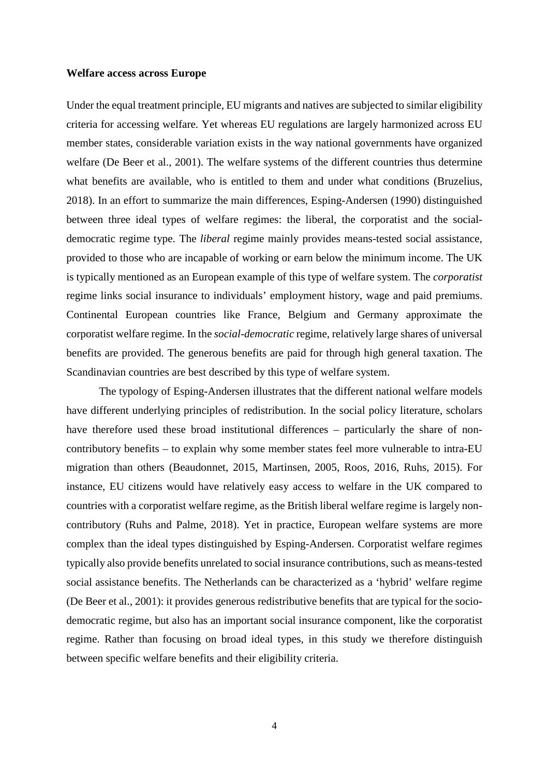#### **Welfare access across Europe**

Under the equal treatment principle, EU migrants and natives are subjected to similar eligibility criteria for accessing welfare. Yet whereas EU regulations are largely harmonized across EU member states, considerable variation exists in the way national governments have organized welfare [\(De Beer et al., 2001\)](#page-19-10). The welfare systems of the different countries thus determine what benefits are available, who is entitled to them and under what conditions (Bruzelius, [2018\)](#page-19-3). In an effort to summarize the main differences, Esping-Andersen [\(1990\)](#page-19-11) distinguished between three ideal types of welfare regimes: the liberal, the corporatist and the socialdemocratic regime type. The *liberal* regime mainly provides means-tested social assistance, provided to those who are incapable of working or earn below the minimum income. The UK is typically mentioned as an European example of this type of welfare system. The *corporatist* regime links social insurance to individuals' employment history, wage and paid premiums. Continental European countries like France, Belgium and Germany approximate the corporatist welfare regime. In the *social-democratic* regime, relatively large shares of universal benefits are provided. The generous benefits are paid for through high general taxation. The Scandinavian countries are best described by this type of welfare system.

The typology of Esping-Andersen illustrates that the different national welfare models have different underlying principles of redistribution. In the social policy literature, scholars have therefore used these broad institutional differences – particularly the share of noncontributory benefits – to explain why some member states feel more vulnerable to intra-EU migration than others [\(Beaudonnet, 2015,](#page-19-12) [Martinsen, 2005,](#page-20-10) [Roos, 2016,](#page-20-11) [Ruhs, 2015\)](#page-21-3). For instance, EU citizens would have relatively easy access to welfare in the UK compared to countries with a corporatist welfare regime, as the British liberal welfare regime is largely noncontributory (Ruhs [and Palme, 2018\)](#page-21-1). Yet in practice, European welfare systems are more complex than the ideal types distinguished by Esping-Andersen. Corporatist welfare regimes typically also provide benefits unrelated to social insurance contributions, such as means-tested social assistance benefits. The Netherlands can be characterized as a 'hybrid' welfare regime [\(De Beer et al., 2001\)](#page-19-10): it provides generous redistributive benefits that are typical for the sociodemocratic regime, but also has an important social insurance component, like the corporatist regime. Rather than focusing on broad ideal types, in this study we therefore distinguish between specific welfare benefits and their eligibility criteria.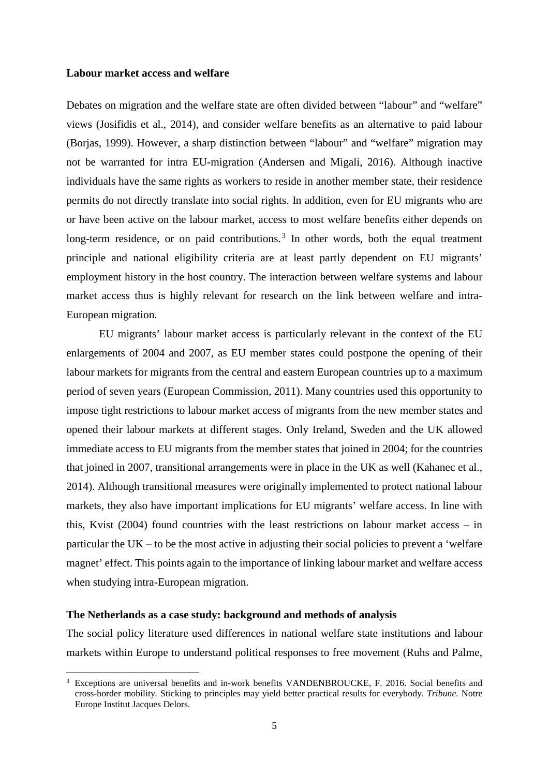#### **Labour market access and welfare**

Debates on migration and the welfare state are often divided between "labour" and "welfare" views [\(Josifidis et al., 2014\)](#page-20-12), and consider welfare benefits as an alternative to paid labour [\(Borjas, 1999\)](#page-19-13). However, a sharp distinction between "labour" and "welfare" migration may not be warranted for intra EU-migration [\(Andersen and Migali, 2016\)](#page-19-9). Although inactive individuals have the same rights as workers to reside in another member state, their residence permits do not directly translate into social rights. In addition, even for EU migrants who are or have been active on the labour market, access to most welfare benefits either depends on long-term residence, or on paid contributions.<sup>3</sup> In other words, both the equal treatment principle and national eligibility criteria are at least partly dependent on EU migrants' employment history in the host country. The interaction between welfare systems and labour market access thus is highly relevant for research on the link between welfare and intra-European migration.

EU migrants' labour market access is particularly relevant in the context of the EU enlargements of 2004 and 2007, as EU member states could postpone the opening of their labour markets for migrants from the central and eastern European countries up to a maximum period of seven years [\(European Commission, 2011\)](#page-19-14). Many countries used this opportunity to impose tight restrictions to labour market access of migrants from the new member states and opened their labour markets at different stages. Only Ireland, Sweden and the UK allowed immediate access to EU migrants from the member states that joined in 2004; for the countries that joined in 2007, transitional arrangements were in place in the UK as well [\(Kahanec et al.,](#page-20-13)  [2014\)](#page-20-13). Although transitional measures were originally implemented to protect national labour markets, they also have important implications for EU migrants' welfare access. In line with this, Kvist [\(2004\)](#page-20-0) found countries with the least restrictions on labour market access – in particular the UK – to be the most active in adjusting their social policies to prevent a 'welfare magnet' effect. This points again to the importance of linking labour market and welfare access when studying intra-European migration.

#### **The Netherlands as a case study: background and methods of analysis**

The social policy literature used differences in national welfare state institutions and labour markets within Europe to understand political responses to free movement [\(Ruhs and Palme,](#page-21-1) 

<sup>&</sup>lt;sup>3</sup> Exceptions are universal benefits and in-work benefits VANDENBROUCKE, F. 2016. Social benefits and cross-border mobility. Sticking to principles may yield better practical results for everybody. *Tribune.* Notre Europe Institut Jacques Delors.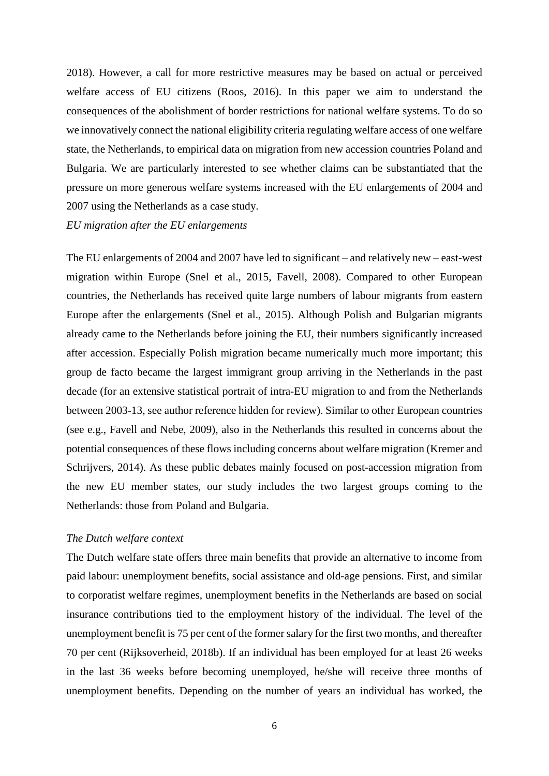[2018\)](#page-21-1). However, a call for more restrictive measures may be based on actual or perceived welfare access of EU citizens [\(Roos, 2016\)](#page-20-11). In this paper we aim to understand the consequences of the abolishment of border restrictions for national welfare systems. To do so we innovatively connect the national eligibility criteria regulating welfare access of one welfare state, the Netherlands, to empirical data on migration from new accession countries Poland and Bulgaria. We are particularly interested to see whether claims can be substantiated that the pressure on more generous welfare systems increased with the EU enlargements of 2004 and 2007 using the Netherlands as a case study.

*EU migration after the EU enlargements*

The EU enlargements of 2004 and 2007 have led to significant – and relatively new – east-west migration within Europe [\(Snel et al., 2015,](#page-21-4) [Favell, 2008\)](#page-19-15). Compared to other European countries, the Netherlands has received quite large numbers of labour migrants from eastern Europe after the enlargements [\(Snel et al., 2015\)](#page-21-4). Although Polish and Bulgarian migrants already came to the Netherlands before joining the EU, their numbers significantly increased after accession. Especially Polish migration became numerically much more important; this group de facto became the largest immigrant group arriving in the Netherlands in the past decade (for an extensive statistical portrait of intra-EU migration to and from the Netherlands between 2003-13, see author reference hidden for review). Similar to other European countries [\(see e.g., Favell and Nebe, 2009\)](#page-19-16), also in the Netherlands this resulted in concerns about the potential consequences of these flows including concerns about welfare migration [\(Kremer and](#page-20-14)  [Schrijvers, 2014\)](#page-20-14). As these public debates mainly focused on post-accession migration from the new EU member states, our study includes the two largest groups coming to the Netherlands: those from Poland and Bulgaria.

### *The Dutch welfare context*

The Dutch welfare state offers three main benefits that provide an alternative to income from paid labour: unemployment benefits, social assistance and old-age pensions. First, and similar to corporatist welfare regimes, unemployment benefits in the Netherlands are based on social insurance contributions tied to the employment history of the individual. The level of the unemployment benefit is 75 per cent of the former salary for the first two months, and thereafter 70 per cent [\(Rijksoverheid, 2018b\)](#page-20-15). If an individual has been employed for at least 26 weeks in the last 36 weeks before becoming unemployed, he/she will receive three months of unemployment benefits. Depending on the number of years an individual has worked, the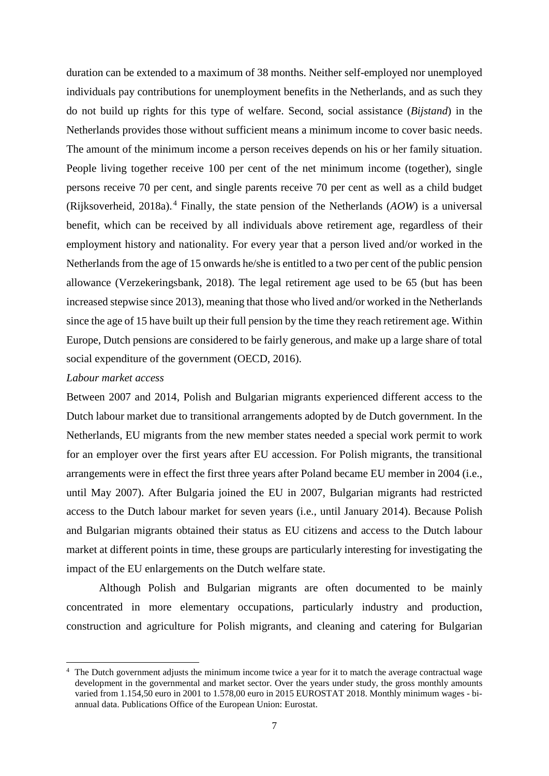duration can be extended to a maximum of 38 months. Neither self-employed nor unemployed individuals pay contributions for unemployment benefits in the Netherlands, and as such they do not build up rights for this type of welfare. Second, social assistance (*Bijstand*) in the Netherlands provides those without sufficient means a minimum income to cover basic needs. The amount of the minimum income a person receives depends on his or her family situation. People living together receive 100 per cent of the net minimum income (together), single persons receive 70 per cent, and single parents receive 70 per cent as well as a child budget [\(Rijksoverheid, 2018a\)](#page-20-16).<sup>4</sup> Finally, the state pension of the Netherlands ( $AOW$ ) is a universal benefit, which can be received by all individuals above retirement age, regardless of their employment history and nationality. For every year that a person lived and/or worked in the Netherlands from the age of 15 onwards he/she is entitled to a two per cent of the public pension allowance [\(Verzekeringsbank, 2018\)](#page-21-5). The legal retirement age used to be 65 (but has been increased stepwise since 2013), meaning that those who lived and/or worked in the Netherlands since the age of 15 have built up their full pension by the time they reach retirement age. Within Europe, Dutch pensions are considered to be fairly generous, and make up a large share of total social expenditure of the government [\(OECD, 2016\)](#page-20-17).

# *Labour market access*

Between 2007 and 2014, Polish and Bulgarian migrants experienced different access to the Dutch labour market due to transitional arrangements adopted by de Dutch government. In the Netherlands, EU migrants from the new member states needed a special work permit to work for an employer over the first years after EU accession. For Polish migrants, the transitional arrangements were in effect the first three years after Poland became EU member in 2004 (i.e., until May 2007). After Bulgaria joined the EU in 2007, Bulgarian migrants had restricted access to the Dutch labour market for seven years (i.e., until January 2014). Because Polish and Bulgarian migrants obtained their status as EU citizens and access to the Dutch labour market at different points in time, these groups are particularly interesting for investigating the impact of the EU enlargements on the Dutch welfare state.

Although Polish and Bulgarian migrants are often documented to be mainly concentrated in more elementary occupations, particularly industry and production, construction and agriculture for Polish migrants, and cleaning and catering for Bulgarian

The Dutch government adjusts the minimum income twice a year for it to match the average contractual wage development in the governmental and market sector. Over the years under study, the gross monthly amounts varied from 1.154,50 euro in 2001 to 1.578,00 euro in 2015 EUROSTAT 2018. Monthly minimum wages - biannual data. Publications Office of the European Union: Eurostat.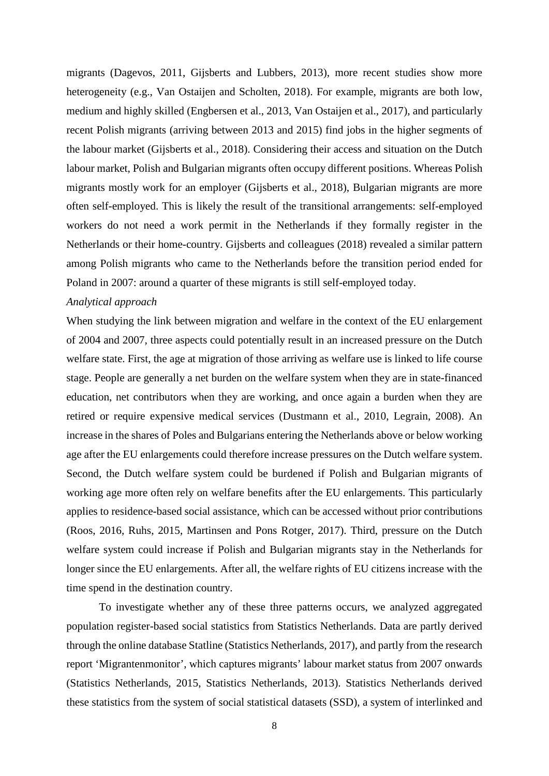migrants [\(Dagevos, 2011,](#page-19-17) [Gijsberts and Lubbers, 2013\)](#page-20-18), more recent studies show more heterogeneity [\(e.g., Van Ostaijen and Scholten, 2018\)](#page-21-6). For example, migrants are both low, medium and highly skilled [\(Engbersen et al., 2013,](#page-19-18) [Van Ostaijen et al., 2017\)](#page-21-7), and particularly recent Polish migrants (arriving between 2013 and 2015) find jobs in the higher segments of the labour market [\(Gijsberts et al., 2018\)](#page-20-19). Considering their access and situation on the Dutch labour market, Polish and Bulgarian migrants often occupy different positions. Whereas Polish migrants mostly work for an employer [\(Gijsberts et al., 2018\)](#page-20-19), Bulgarian migrants are more often self-employed. This is likely the result of the transitional arrangements: self-employed workers do not need a work permit in the Netherlands if they formally register in the Netherlands or their home-country. Gijsberts and colleagues [\(2018\)](#page-20-19) revealed a similar pattern among Polish migrants who came to the Netherlands before the transition period ended for Poland in 2007: around a quarter of these migrants is still self-employed today.

## *Analytical approach*

When studying the link between migration and welfare in the context of the EU enlargement of 2004 and 2007, three aspects could potentially result in an increased pressure on the Dutch welfare state. First, the age at migration of those arriving as welfare use is linked to life course stage. People are generally a net burden on the welfare system when they are in state-financed education, net contributors when they are working, and once again a burden when they are retired or require expensive medical services [\(Dustmann et al., 2010,](#page-19-19) [Legrain, 2008\)](#page-20-20). An increase in the shares of Poles and Bulgarians entering the Netherlands above or below working age after the EU enlargements could therefore increase pressures on the Dutch welfare system. Second, the Dutch welfare system could be burdened if Polish and Bulgarian migrants of working age more often rely on welfare benefits after the EU enlargements. This particularly applies to residence-based social assistance, which can be accessed without prior contributions [\(Roos, 2016,](#page-20-11) [Ruhs, 2015,](#page-21-3) [Martinsen and Pons Rotger, 2017\)](#page-20-21). Third, pressure on the Dutch welfare system could increase if Polish and Bulgarian migrants stay in the Netherlands for longer since the EU enlargements. After all, the welfare rights of EU citizens increase with the time spend in the destination country.

To investigate whether any of these three patterns occurs, we analyzed aggregated population register-based social statistics from Statistics Netherlands. Data are partly derived through the online database Statline [\(Statistics Netherlands, 2017\)](#page-21-8), and partly from the research report 'Migrantenmonitor', which captures migrants' labour market status from 2007 onwards [\(Statistics Netherlands, 2015,](#page-21-9) [Statistics Netherlands, 2013\)](#page-21-10). Statistics Netherlands derived these statistics from the system of social statistical datasets (SSD), a system of interlinked and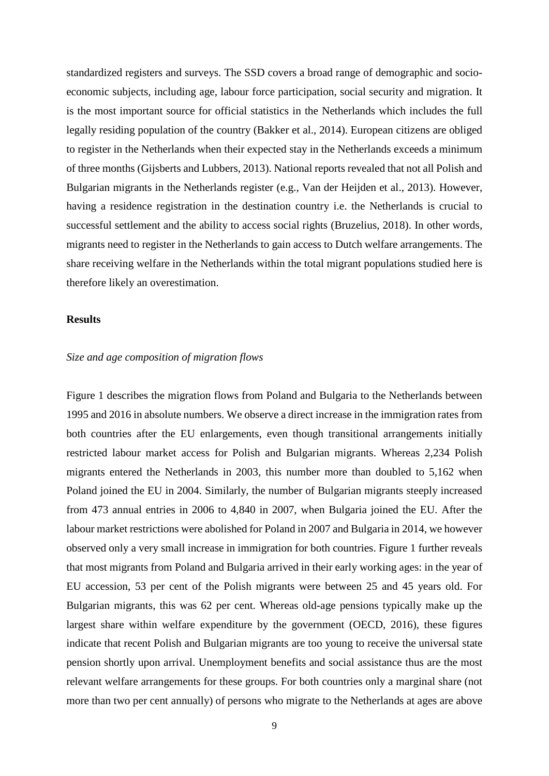standardized registers and surveys. The SSD covers a broad range of demographic and socioeconomic subjects, including age, labour force participation, social security and migration. It is the most important source for official statistics in the Netherlands which includes the full legally residing population of the country [\(Bakker et al., 2014\)](#page-19-20). European citizens are obliged to register in the Netherlands when their expected stay in the Netherlands exceeds a minimum of three months [\(Gijsberts and Lubbers, 2013\)](#page-20-18). National reports revealed that not all Polish and Bulgarian migrants in the Netherlands register [\(e.g., Van der Heijden et al., 2013\)](#page-21-11). However, having a residence registration in the destination country i.e. the Netherlands is crucial to successful settlement and the ability to access social rights [\(Bruzelius, 2018\)](#page-19-3). In other words, migrants need to register in the Netherlands to gain access to Dutch welfare arrangements. The share receiving welfare in the Netherlands within the total migrant populations studied here is therefore likely an overestimation.

# **Results**

# *Size and age composition of migration flows*

Figure 1 describes the migration flows from Poland and Bulgaria to the Netherlands between 1995 and 2016 in absolute numbers. We observe a direct increase in the immigration rates from both countries after the EU enlargements, even though transitional arrangements initially restricted labour market access for Polish and Bulgarian migrants. Whereas 2,234 Polish migrants entered the Netherlands in 2003, this number more than doubled to 5,162 when Poland joined the EU in 2004. Similarly, the number of Bulgarian migrants steeply increased from 473 annual entries in 2006 to 4,840 in 2007, when Bulgaria joined the EU. After the labour market restrictions were abolished for Poland in 2007 and Bulgaria in 2014, we however observed only a very small increase in immigration for both countries. Figure 1 further reveals that most migrants from Poland and Bulgaria arrived in their early working ages: in the year of EU accession, 53 per cent of the Polish migrants were between 25 and 45 years old. For Bulgarian migrants, this was 62 per cent. Whereas old-age pensions typically make up the largest share within welfare expenditure by the government [\(OECD, 2016\)](#page-20-17), these figures indicate that recent Polish and Bulgarian migrants are too young to receive the universal state pension shortly upon arrival. Unemployment benefits and social assistance thus are the most relevant welfare arrangements for these groups. For both countries only a marginal share (not more than two per cent annually) of persons who migrate to the Netherlands at ages are above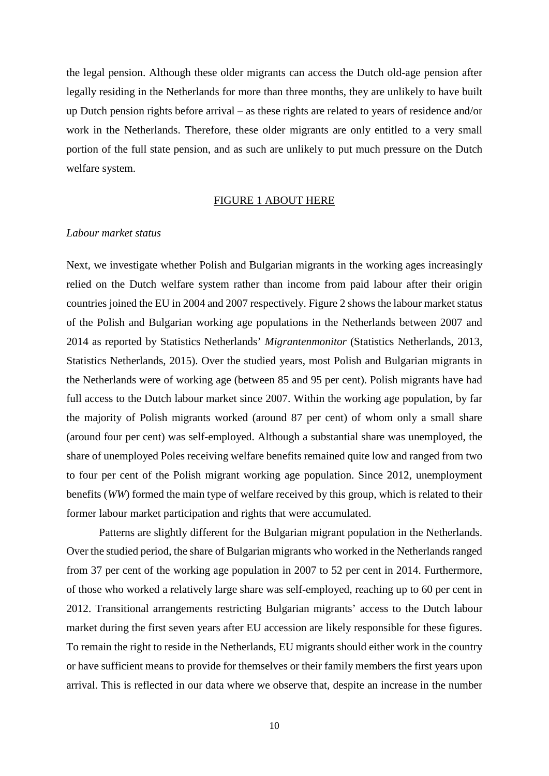the legal pension. Although these older migrants can access the Dutch old-age pension after legally residing in the Netherlands for more than three months, they are unlikely to have built up Dutch pension rights before arrival – as these rights are related to years of residence and/or work in the Netherlands. Therefore, these older migrants are only entitled to a very small portion of the full state pension, and as such are unlikely to put much pressure on the Dutch welfare system.

## FIGURE 1 ABOUT HERE

#### *Labour market status*

Next, we investigate whether Polish and Bulgarian migrants in the working ages increasingly relied on the Dutch welfare system rather than income from paid labour after their origin countries joined the EU in 2004 and 2007 respectively. Figure 2 shows the labour market status of the Polish and Bulgarian working age populations in the Netherlands between 2007 and 2014 as reported by Statistics Netherlands' *Migrantenmonitor* [\(Statistics Netherlands, 2013,](#page-21-10) [Statistics Netherlands, 2015\)](#page-21-9). Over the studied years, most Polish and Bulgarian migrants in the Netherlands were of working age (between 85 and 95 per cent). Polish migrants have had full access to the Dutch labour market since 2007. Within the working age population, by far the majority of Polish migrants worked (around 87 per cent) of whom only a small share (around four per cent) was self-employed. Although a substantial share was unemployed, the share of unemployed Poles receiving welfare benefits remained quite low and ranged from two to four per cent of the Polish migrant working age population. Since 2012, unemployment benefits (*WW*) formed the main type of welfare received by this group, which is related to their former labour market participation and rights that were accumulated.

Patterns are slightly different for the Bulgarian migrant population in the Netherlands. Over the studied period, the share of Bulgarian migrants who worked in the Netherlands ranged from 37 per cent of the working age population in 2007 to 52 per cent in 2014. Furthermore, of those who worked a relatively large share was self-employed, reaching up to 60 per cent in 2012. Transitional arrangements restricting Bulgarian migrants' access to the Dutch labour market during the first seven years after EU accession are likely responsible for these figures. To remain the right to reside in the Netherlands, EU migrants should either work in the country or have sufficient means to provide for themselves or their family members the first years upon arrival. This is reflected in our data where we observe that, despite an increase in the number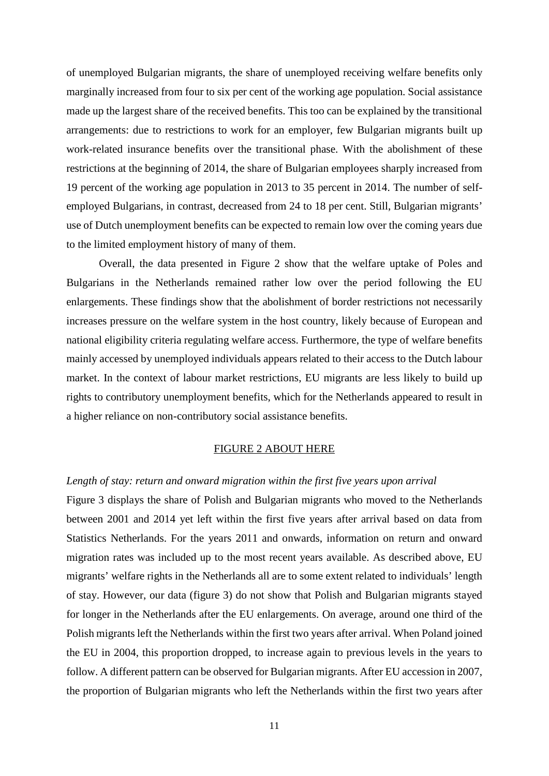of unemployed Bulgarian migrants, the share of unemployed receiving welfare benefits only marginally increased from four to six per cent of the working age population. Social assistance made up the largest share of the received benefits. This too can be explained by the transitional arrangements: due to restrictions to work for an employer, few Bulgarian migrants built up work-related insurance benefits over the transitional phase. With the abolishment of these restrictions at the beginning of 2014, the share of Bulgarian employees sharply increased from 19 percent of the working age population in 2013 to 35 percent in 2014. The number of selfemployed Bulgarians, in contrast, decreased from 24 to 18 per cent. Still, Bulgarian migrants' use of Dutch unemployment benefits can be expected to remain low over the coming years due to the limited employment history of many of them.

Overall, the data presented in Figure 2 show that the welfare uptake of Poles and Bulgarians in the Netherlands remained rather low over the period following the EU enlargements. These findings show that the abolishment of border restrictions not necessarily increases pressure on the welfare system in the host country, likely because of European and national eligibility criteria regulating welfare access. Furthermore, the type of welfare benefits mainly accessed by unemployed individuals appears related to their access to the Dutch labour market. In the context of labour market restrictions, EU migrants are less likely to build up rights to contributory unemployment benefits, which for the Netherlands appeared to result in a higher reliance on non-contributory social assistance benefits.

#### FIGURE 2 ABOUT HERE

#### *Length of stay: return and onward migration within the first five years upon arrival*

Figure 3 displays the share of Polish and Bulgarian migrants who moved to the Netherlands between 2001 and 2014 yet left within the first five years after arrival based on data from Statistics Netherlands. For the years 2011 and onwards, information on return and onward migration rates was included up to the most recent years available. As described above, EU migrants' welfare rights in the Netherlands all are to some extent related to individuals' length of stay. However, our data (figure 3) do not show that Polish and Bulgarian migrants stayed for longer in the Netherlands after the EU enlargements. On average, around one third of the Polish migrants left the Netherlands within the first two years after arrival. When Poland joined the EU in 2004, this proportion dropped, to increase again to previous levels in the years to follow. A different pattern can be observed for Bulgarian migrants. After EU accession in 2007, the proportion of Bulgarian migrants who left the Netherlands within the first two years after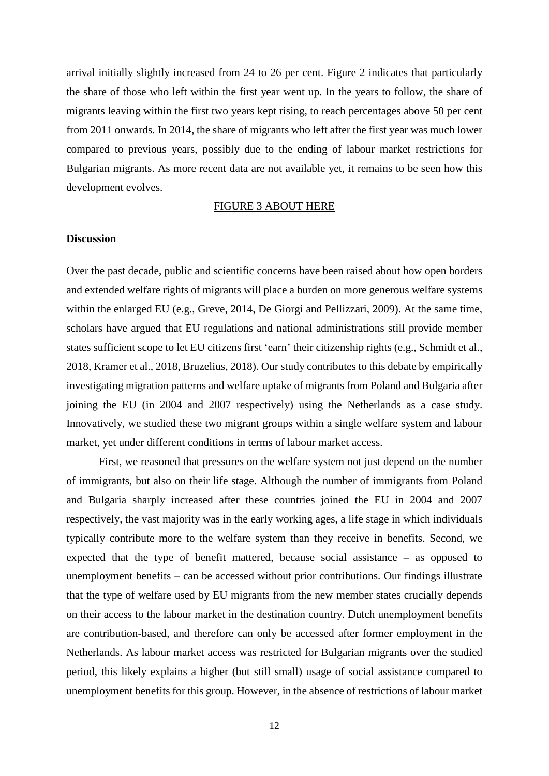arrival initially slightly increased from 24 to 26 per cent. Figure 2 indicates that particularly the share of those who left within the first year went up. In the years to follow, the share of migrants leaving within the first two years kept rising, to reach percentages above 50 per cent from 2011 onwards. In 2014, the share of migrants who left after the first year was much lower compared to previous years, possibly due to the ending of labour market restrictions for Bulgarian migrants. As more recent data are not available yet, it remains to be seen how this development evolves.

## FIGURE 3 ABOUT HERE

# **Discussion**

Over the past decade, public and scientific concerns have been raised about how open borders and extended welfare rights of migrants will place a burden on more generous welfare systems within the enlarged EU (e.g., [Greve, 2014,](#page-20-22) [De Giorgi and Pellizzari, 2009\)](#page-19-0). At the same time, scholars have argued that EU regulations and national administrations still provide member states sufficient scope to let EU citizens first 'earn' their citizenship rights (e.g., [Schmidt et al.,](#page-21-0)  [2018,](#page-21-0) [Kramer et al., 2018,](#page-20-23) [Bruzelius, 2018\)](#page-19-3). Our study contributes to this debate by empirically investigating migration patterns and welfare uptake of migrants from Poland and Bulgaria after joining the EU (in 2004 and 2007 respectively) using the Netherlands as a case study. Innovatively, we studied these two migrant groups within a single welfare system and labour market, yet under different conditions in terms of labour market access.

First, we reasoned that pressures on the welfare system not just depend on the number of immigrants, but also on their life stage. Although the number of immigrants from Poland and Bulgaria sharply increased after these countries joined the EU in 2004 and 2007 respectively, the vast majority was in the early working ages, a life stage in which individuals typically contribute more to the welfare system than they receive in benefits. Second, we expected that the type of benefit mattered, because social assistance – as opposed to unemployment benefits – can be accessed without prior contributions. Our findings illustrate that the type of welfare used by EU migrants from the new member states crucially depends on their access to the labour market in the destination country. Dutch unemployment benefits are contribution-based, and therefore can only be accessed after former employment in the Netherlands. As labour market access was restricted for Bulgarian migrants over the studied period, this likely explains a higher (but still small) usage of social assistance compared to unemployment benefits for this group. However, in the absence of restrictions of labour market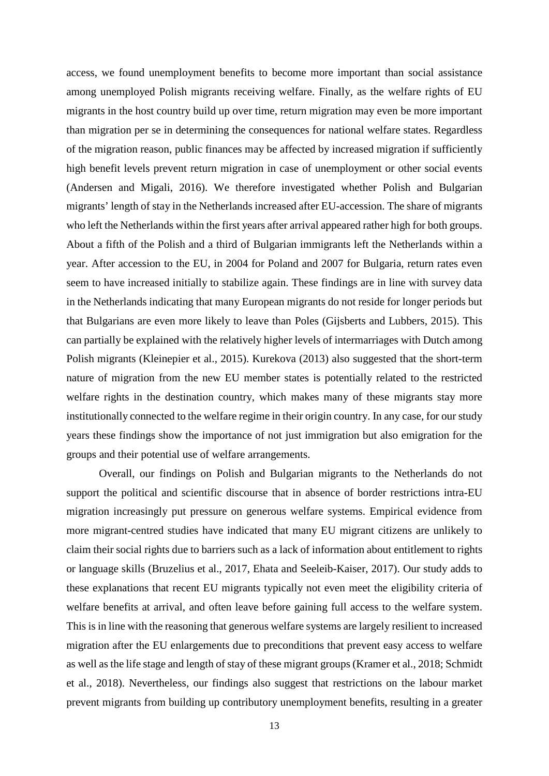access, we found unemployment benefits to become more important than social assistance among unemployed Polish migrants receiving welfare. Finally, as the welfare rights of EU migrants in the host country build up over time, return migration may even be more important than migration per se in determining the consequences for national welfare states. Regardless of the migration reason, public finances may be affected by increased migration if sufficiently high benefit levels prevent return migration in case of unemployment or other social events [\(Andersen and Migali, 2016\)](#page-19-9). We therefore investigated whether Polish and Bulgarian migrants' length of stay in the Netherlands increased after EU-accession. The share of migrants who left the Netherlands within the first years after arrival appeared rather high for both groups. About a fifth of the Polish and a third of Bulgarian immigrants left the Netherlands within a year. After accession to the EU, in 2004 for Poland and 2007 for Bulgaria, return rates even seem to have increased initially to stabilize again. These findings are in line with survey data in the Netherlands indicating that many European migrants do not reside for longer periods but that Bulgarians are even more likely to leave than Poles [\(Gijsberts and Lubbers, 2015\)](#page-20-24). This can partially be explained with the relatively higher levels of intermarriages with Dutch among Polish migrants [\(Kleinepier et al., 2015\)](#page-20-25). Kurekova [\(2013\)](#page-20-26) also suggested that the short-term nature of migration from the new EU member states is potentially related to the restricted welfare rights in the destination country, which makes many of these migrants stay more institutionally connected to the welfare regime in their origin country. In any case, for our study years these findings show the importance of not just immigration but also emigration for the groups and their potential use of welfare arrangements.

Overall, our findings on Polish and Bulgarian migrants to the Netherlands do not support the political and scientific discourse that in absence of border restrictions intra-EU migration increasingly put pressure on generous welfare systems. Empirical evidence from more migrant-centred studies have indicated that many EU migrant citizens are unlikely to claim their social rights due to barriers such as a lack of information about entitlement to rights or language skills [\(Bruzelius et al., 2017,](#page-19-21) [Ehata and Seeleib-Kaiser, 2017\)](#page-19-22). Our study adds to these explanations that recent EU migrants typically not even meet the eligibility criteria of welfare benefits at arrival, and often leave before gaining full access to the welfare system. This is in line with the reasoning that generous welfare systems are largely resilient to increased migration after the EU enlargements due to preconditions that prevent easy access to welfare as well as the life stage and length of stay of these migrant groups (Kramer et al., 2018; Schmidt et al., 2018). Nevertheless, our findings also suggest that restrictions on the labour market prevent migrants from building up contributory unemployment benefits, resulting in a greater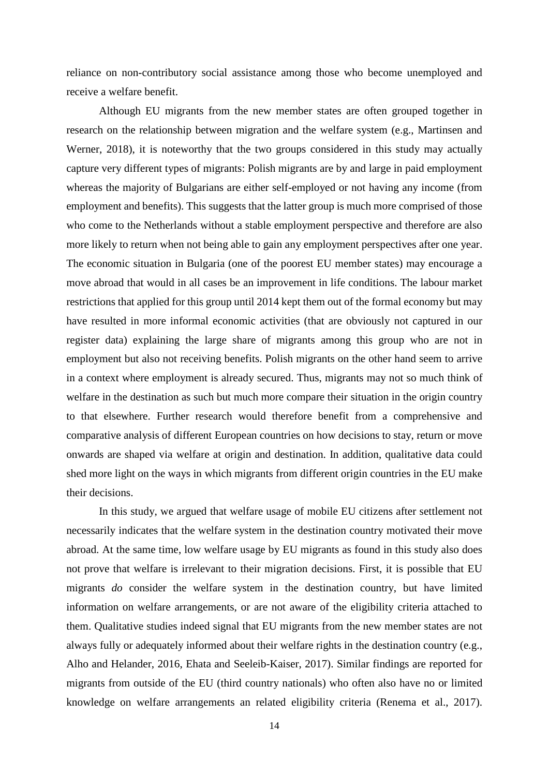reliance on non-contributory social assistance among those who become unemployed and receive a welfare benefit.

Although EU migrants from the new member states are often grouped together in research on the relationship between migration and the welfare system [\(e.g., Martinsen and](#page-20-6)  [Werner, 2018\)](#page-20-6), it is noteworthy that the two groups considered in this study may actually capture very different types of migrants: Polish migrants are by and large in paid employment whereas the majority of Bulgarians are either self-employed or not having any income (from employment and benefits). This suggests that the latter group is much more comprised of those who come to the Netherlands without a stable employment perspective and therefore are also more likely to return when not being able to gain any employment perspectives after one year. The economic situation in Bulgaria (one of the poorest EU member states) may encourage a move abroad that would in all cases be an improvement in life conditions. The labour market restrictions that applied for this group until 2014 kept them out of the formal economy but may have resulted in more informal economic activities (that are obviously not captured in our register data) explaining the large share of migrants among this group who are not in employment but also not receiving benefits. Polish migrants on the other hand seem to arrive in a context where employment is already secured. Thus, migrants may not so much think of welfare in the destination as such but much more compare their situation in the origin country to that elsewhere. Further research would therefore benefit from a comprehensive and comparative analysis of different European countries on how decisions to stay, return or move onwards are shaped via welfare at origin and destination. In addition, qualitative data could shed more light on the ways in which migrants from different origin countries in the EU make their decisions.

In this study, we argued that welfare usage of mobile EU citizens after settlement not necessarily indicates that the welfare system in the destination country motivated their move abroad. At the same time, low welfare usage by EU migrants as found in this study also does not prove that welfare is irrelevant to their migration decisions. First, it is possible that EU migrants *do* consider the welfare system in the destination country, but have limited information on welfare arrangements, or are not aware of the eligibility criteria attached to them. Qualitative studies indeed signal that EU migrants from the new member states are not always fully or adequately informed about their welfare rights in the destination country (e.g., [Alho and Helander, 2016,](#page-19-23) [Ehata and Seeleib-Kaiser, 2017\)](#page-19-22). Similar findings are reported for migrants from outside of the EU (third country nationals) who often also have no or limited knowledge on welfare arrangements an related eligibility criteria [\(Renema et al., 2017\)](#page-20-27).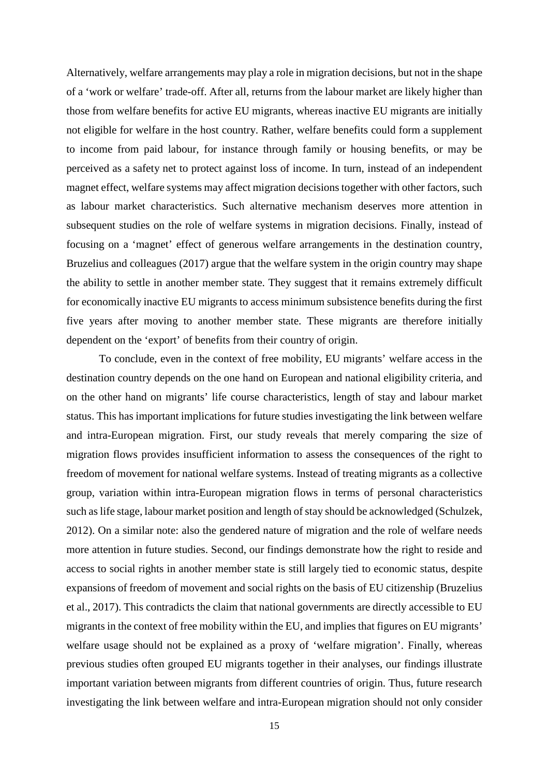Alternatively, welfare arrangements may play a role in migration decisions, but not in the shape of a 'work or welfare' trade-off. After all, returns from the labour market are likely higher than those from welfare benefits for active EU migrants, whereas inactive EU migrants are initially not eligible for welfare in the host country. Rather, welfare benefits could form a supplement to income from paid labour, for instance through family or housing benefits, or may be perceived as a safety net to protect against loss of income. In turn, instead of an independent magnet effect, welfare systems may affect migration decisions together with other factors, such as labour market characteristics. Such alternative mechanism deserves more attention in subsequent studies on the role of welfare systems in migration decisions. Finally, instead of focusing on a 'magnet' effect of generous welfare arrangements in the destination country, Bruzelius and colleagues [\(2017\)](#page-19-21) argue that the welfare system in the origin country may shape the ability to settle in another member state. They suggest that it remains extremely difficult for economically inactive EU migrants to access minimum subsistence benefits during the first five years after moving to another member state. These migrants are therefore initially dependent on the 'export' of benefits from their country of origin.

To conclude, even in the context of free mobility, EU migrants' welfare access in the destination country depends on the one hand on European and national eligibility criteria, and on the other hand on migrants' life course characteristics, length of stay and labour market status. This has important implications for future studies investigating the link between welfare and intra-European migration. First, our study reveals that merely comparing the size of migration flows provides insufficient information to assess the consequences of the right to freedom of movement for national welfare systems. Instead of treating migrants as a collective group, variation within intra-European migration flows in terms of personal characteristics such as life stage, labour market position and length of stay should be acknowledged [\(Schulzek,](#page-21-12)  [2012\)](#page-21-12). On a similar note: also the gendered nature of migration and the role of welfare needs more attention in future studies. Second, our findings demonstrate how the right to reside and access to social rights in another member state is still largely tied to economic status, despite expansions of freedom of movement and social rights on the basis of EU citizenship [\(Bruzelius](#page-19-21)  [et al., 2017\)](#page-19-21). This contradicts the claim that national governments are directly accessible to EU migrants in the context of free mobility within the EU, and implies that figures on EU migrants' welfare usage should not be explained as a proxy of 'welfare migration'. Finally, whereas previous studies often grouped EU migrants together in their analyses, our findings illustrate important variation between migrants from different countries of origin. Thus, future research investigating the link between welfare and intra-European migration should not only consider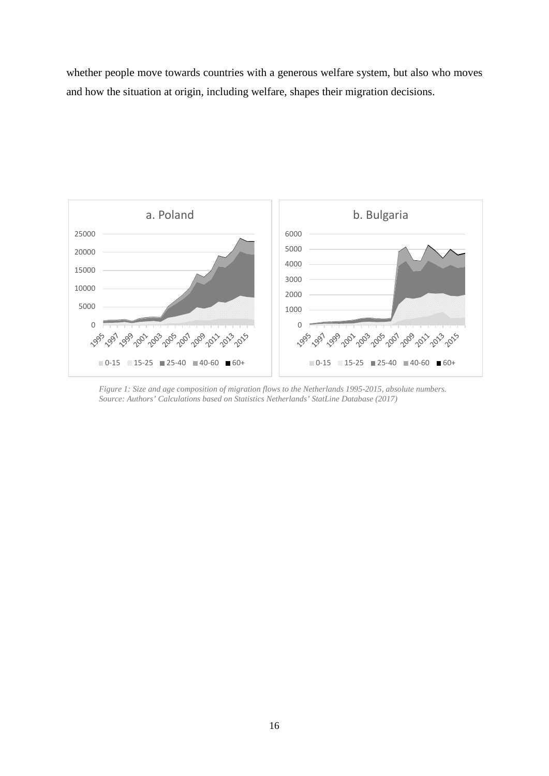whether people move towards countries with a generous welfare system, but also who moves and how the situation at origin, including welfare, shapes their migration decisions.



*Figure 1: Size and age composition of migration flows to the Netherlands 1995-2015, absolute numbers. Source: Authors' Calculations based on Statistics Netherlands' StatLine Database (2017)*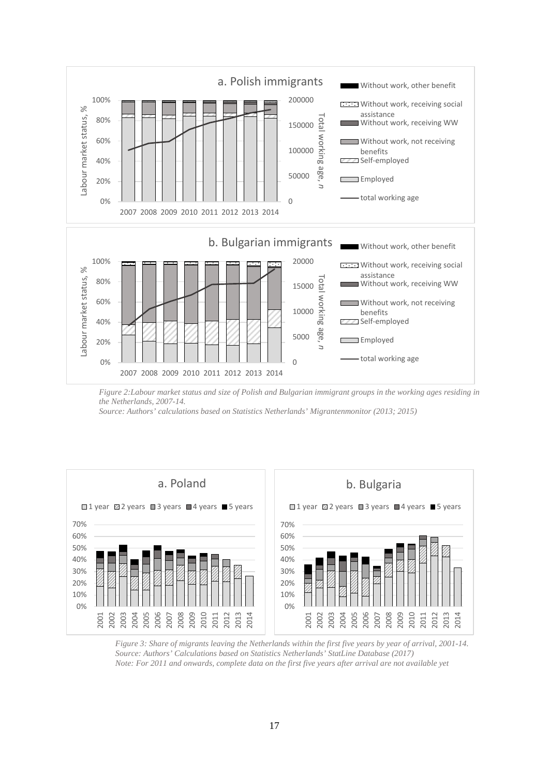

*Figure 2:Labour market status and size of Polish and Bulgarian immigrant groups in the working ages residing in the Netherlands, 2007-14.* 

*Source: Authors' calculations based on Statistics Netherlands' Migrantenmonitor (2013; 2015)*



*Figure 3: Share of migrants leaving the Netherlands within the first five years by year of arrival, 2001-14. Source: Authors' Calculations based on Statistics Netherlands' StatLine Database (2017) Note: For 2011 and onwards, complete data on the first five years after arrival are not available yet*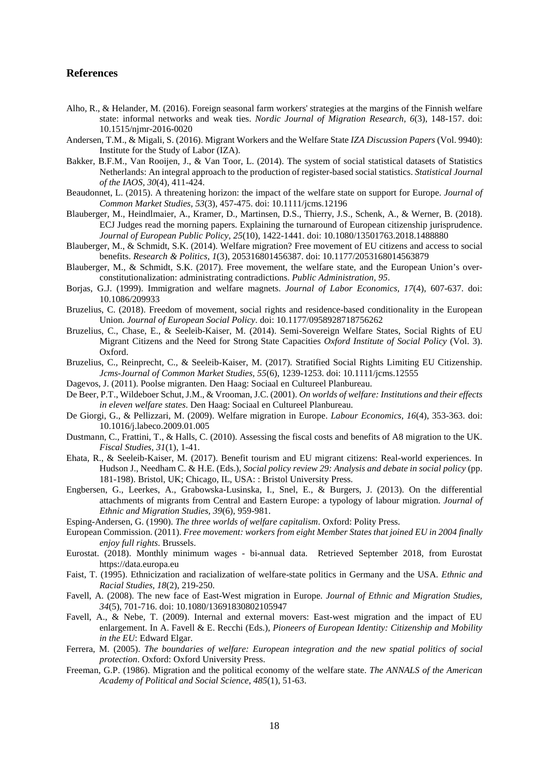#### **References**

- <span id="page-19-23"></span>Alho, R., & Helander, M. (2016). Foreign seasonal farm workers' strategies at the margins of the Finnish welfare state: informal networks and weak ties. *Nordic Journal of Migration Research, 6*(3), 148-157. doi: 10.1515/njmr-2016-0020
- <span id="page-19-9"></span>Andersen, T.M., & Migali, S. (2016). Migrant Workers and the Welfare State *IZA Discussion Papers* (Vol. 9940): Institute for the Study of Labor (IZA).
- <span id="page-19-20"></span>Bakker, B.F.M., Van Rooijen, J., & Van Toor, L. (2014). The system of social statistical datasets of Statistics Netherlands: An integral approach to the production of register-based social statistics. *Statistical Journal of the IAOS, 30*(4), 411-424.
- <span id="page-19-12"></span>Beaudonnet, L. (2015). A threatening horizon: the impact of the welfare state on support for Europe. *Journal of Common Market Studies, 53*(3), 457-475. doi: 10.1111/jcms.12196
- <span id="page-19-2"></span>Blauberger, M., Heindlmaier, A., Kramer, D., Martinsen, D.S., Thierry, J.S., Schenk, A., & Werner, B. (2018). ECJ Judges read the morning papers. Explaining the turnaround of European citizenship jurisprudence. *Journal of European Public Policy, 25*(10), 1422-1441. doi: 10.1080/13501763.2018.1488880
- <span id="page-19-4"></span>Blauberger, M., & Schmidt, S.K. (2014). Welfare migration? Free movement of EU citizens and access to social benefits. *Research & Politics, 1*(3), 205316801456387. doi: 10.1177/2053168014563879
- <span id="page-19-1"></span>Blauberger, M., & Schmidt, S.K. (2017). Free movement, the welfare state, and the European Union's overconstitutionalization: administrating contradictions. *Public Administration, 95*.
- <span id="page-19-13"></span>Borjas, G.J. (1999). Immigration and welfare magnets. *Journal of Labor Economics, 17*(4), 607-637. doi: 10.1086/209933
- <span id="page-19-3"></span>Bruzelius, C. (2018). Freedom of movement, social rights and residence-based conditionality in the European Union. *Journal of European Social Policy*. doi: 10.1177/0958928718756262
- <span id="page-19-8"></span>Bruzelius, C., Chase, E., & Seeleib-Kaiser, M. (2014). Semi-Sovereign Welfare States, Social Rights of EU Migrant Citizens and the Need for Strong State Capacities *Oxford Institute of Social Policy* (Vol. 3). Oxford.
- <span id="page-19-21"></span>Bruzelius, C., Reinprecht, C., & Seeleib-Kaiser, M. (2017). Stratified Social Rights Limiting EU Citizenship. *Jcms-Journal of Common Market Studies, 55*(6), 1239-1253. doi: 10.1111/jcms.12555
- <span id="page-19-17"></span>Dagevos, J. (2011). Poolse migranten. Den Haag: Sociaal en Cultureel Planbureau.
- <span id="page-19-10"></span>De Beer, P.T., Wildeboer Schut, J.M., & Vrooman, J.C. (2001). *On worlds of welfare: Institutions and their effects in eleven welfare states*. Den Haag: Sociaal en Cultureel Planbureau.
- <span id="page-19-0"></span>De Giorgi, G., & Pellizzari, M. (2009). Welfare migration in Europe. *Labour Economics, 16*(4), 353-363. doi: 10.1016/j.labeco.2009.01.005
- <span id="page-19-19"></span>Dustmann, C., Frattini, T., & Halls, C. (2010). Assessing the fiscal costs and benefits of A8 migration to the UK. *Fiscal Studies, 31*(1), 1-41.
- <span id="page-19-22"></span>Ehata, R., & Seeleib-Kaiser, M. (2017). Benefit tourism and EU migrant citizens: Real-world experiences. In Hudson J., Needham C. & H.E. (Eds.), *Social policy review 29: Analysis and debate in social policy* (pp. 181-198). Bristol, UK; Chicago, IL, USA: : Bristol University Press.
- <span id="page-19-18"></span>Engbersen, G., Leerkes, A., Grabowska-Lusinska, I., Snel, E., & Burgers, J. (2013). On the differential attachments of migrants from Central and Eastern Europe: a typology of labour migration. *Journal of Ethnic and Migration Studies, 39*(6), 959-981.
- <span id="page-19-11"></span>Esping-Andersen, G. (1990). *The three worlds of welfare capitalism*. Oxford: Polity Press.
- <span id="page-19-14"></span>European Commission. (2011). *Free movement: workers from eight Member States that joined EU in 2004 finally enjoy full rights*. Brussels.
- Eurostat. (2018). Monthly minimum wages bi-annual data. Retrieved September 2018, from Eurostat https://data.europa.eu
- <span id="page-19-7"></span>Faist, T. (1995). Ethnicization and racialization of welfare-state politics in Germany and the USA. *Ethnic and Racial Studies, 18*(2), 219-250.
- <span id="page-19-15"></span>Favell, A. (2008). The new face of East-West migration in Europe. *Journal of Ethnic and Migration Studies, 34*(5), 701-716. doi: 10.1080/13691830802105947
- <span id="page-19-16"></span>Favell, A., & Nebe, T. (2009). Internal and external movers: East-west migration and the impact of EU enlargement. In A. Favell & E. Recchi (Eds.), *Pioneers of European Identity: Citizenship and Mobility in the EU*: Edward Elgar.
- <span id="page-19-5"></span>Ferrera, M. (2005). *The boundaries of welfare: European integration and the new spatial politics of social protection*. Oxford: Oxford University Press.
- <span id="page-19-6"></span>Freeman, G.P. (1986). Migration and the political economy of the welfare state. *The ANNALS of the American Academy of Political and Social Science, 485*(1), 51-63.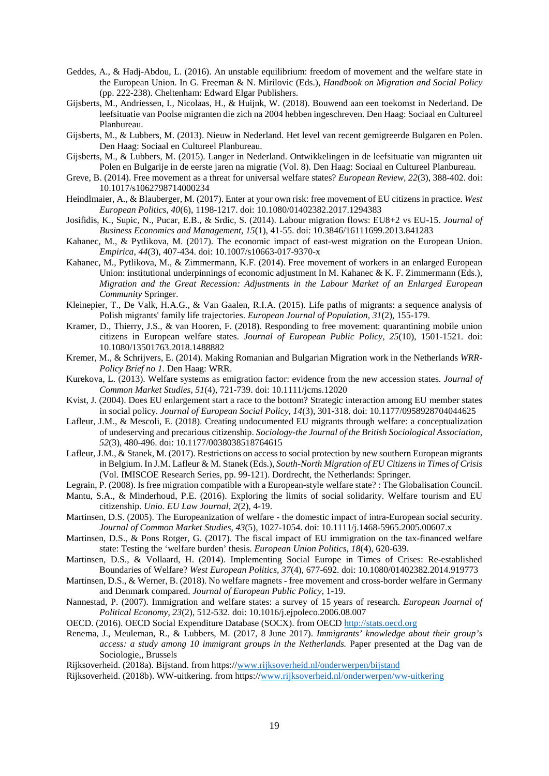- <span id="page-20-5"></span>Geddes, A., & Hadj-Abdou, L. (2016). An unstable equilibrium: freedom of movement and the welfare state in the European Union. In G. Freeman & N. Mirilovic (Eds.), *Handbook on Migration and Social Policy* (pp. 222-238). Cheltenham: Edward Elgar Publishers.
- <span id="page-20-19"></span>Gijsberts, M., Andriessen, I., Nicolaas, H., & Huijnk, W. (2018). Bouwend aan een toekomst in Nederland. De leefsituatie van Poolse migranten die zich na 2004 hebben ingeschreven. Den Haag: Sociaal en Cultureel Planbureau.
- <span id="page-20-18"></span>Gijsberts, M., & Lubbers, M. (2013). Nieuw in Nederland. Het level van recent gemigreerde Bulgaren en Polen. Den Haag: Sociaal en Cultureel Planbureau.
- <span id="page-20-24"></span>Gijsberts, M., & Lubbers, M. (2015). Langer in Nederland. Ontwikkelingen in de leefsituatie van migranten uit Polen en Bulgarije in de eerste jaren na migratie (Vol. 8). Den Haag: Sociaal en Cultureel Planbureau.
- <span id="page-20-22"></span>Greve, B. (2014). Free movement as a threat for universal welfare states? *European Review, 22*(3), 388-402. doi: 10.1017/s1062798714000234
- <span id="page-20-3"></span>Heindlmaier, A., & Blauberger, M. (2017). Enter at your own risk: free movement of EU citizens in practice. *West European Politics, 40*(6), 1198-1217. doi: 10.1080/01402382.2017.1294383
- <span id="page-20-12"></span>Josifidis, K., Supic, N., Pucar, E.B., & Srdic, S. (2014). Labour migration flows: EU8+2 vs EU-15. *Journal of Business Economics and Management, 15*(1), 41-55. doi: 10.3846/16111699.2013.841283
- <span id="page-20-1"></span>Kahanec, M., & Pytlikova, M. (2017). The economic impact of east-west migration on the European Union. *Empirica, 44*(3), 407-434. doi: 10.1007/s10663-017-9370-x
- <span id="page-20-13"></span>Kahanec, M., Pytlikova, M., & Zimmermann, K.F. (2014). Free movement of workers in an enlarged European Union: institutional underpinnings of economic adjustment In M. Kahanec & K. F. Zimmermann (Eds.), *Migration and the Great Recession: Adjustments in the Labour Market of an Enlarged European Community* Springer.
- <span id="page-20-25"></span>Kleinepier, T., De Valk, H.A.G., & Van Gaalen, R.I.A. (2015). Life paths of migrants: a sequence analysis of Polish migrants' family life trajectories. *European Journal of Population, 31*(2), 155-179.
- <span id="page-20-23"></span>Kramer, D., Thierry, J.S., & van Hooren, F. (2018). Responding to free movement: quarantining mobile union citizens in European welfare states. *Journal of European Public Policy, 25*(10), 1501-1521. doi: 10.1080/13501763.2018.1488882
- <span id="page-20-14"></span>Kremer, M., & Schrijvers, E. (2014). Making Romanian and Bulgarian Migration work in the Netherlands *WRR-Policy Brief no 1*. Den Haag: WRR.
- <span id="page-20-26"></span>Kurekova, L. (2013). Welfare systems as emigration factor: evidence from the new accession states. *Journal of Common Market Studies, 51*(4), 721-739. doi: 10.1111/jcms.12020
- <span id="page-20-0"></span>Kvist, J. (2004). Does EU enlargement start a race to the bottom? Strategic interaction among EU member states in social policy. *Journal of European Social Policy, 14*(3), 301-318. doi: 10.1177/0958928704044625
- <span id="page-20-9"></span>Lafleur, J.M., & Mescoli, E. (2018). Creating undocumented EU migrants through welfare: a conceptualization of undeserving and precarious citizenship. *Sociology-the Journal of the British Sociological Association, 52*(3), 480-496. doi: 10.1177/0038038518764615
- <span id="page-20-2"></span>Lafleur, J.M., & Stanek, M. (2017). Restrictions on access to social protection by new southern European migrants in Belgium. In J.M. Lafleur & M. Stanek (Eds.), *South-North Migration of EU Citizens in Times of Crisis* (Vol. IMISCOE Research Series, pp. 99-121). Dordrecht, the Netherlands: Springer.
- <span id="page-20-20"></span>Legrain, P. (2008). Is free migration compatible with a European-style welfare state? : The Globalisation Council.
- <span id="page-20-8"></span>Mantu, S.A., & Minderhoud, P.E. (2016). Exploring the limits of social solidarity. Welfare tourism and EU citizenship. *Unio. EU Law Journal, 2*(2), 4-19.
- <span id="page-20-10"></span>Martinsen, D.S. (2005). The Europeanization of welfare - the domestic impact of intra-European social security. *Journal of Common Market Studies, 43*(5), 1027-1054. doi: 10.1111/j.1468-5965.2005.00607.x
- <span id="page-20-21"></span>Martinsen, D.S., & Pons Rotger, G. (2017). The fiscal impact of EU immigration on the tax-financed welfare state: Testing the 'welfare burden' thesis. *European Union Politics, 18*(4), 620-639.
- <span id="page-20-4"></span>Martinsen, D.S., & Vollaard, H. (2014). Implementing Social Europe in Times of Crises: Re-established Boundaries of Welfare? *West European Politics, 37*(4), 677-692. doi: 10.1080/01402382.2014.919773
- <span id="page-20-6"></span>Martinsen, D.S., & Werner, B. (2018). No welfare magnets - free movement and cross-border welfare in Germany and Denmark compared. *Journal of European Public Policy*, 1-19.
- <span id="page-20-7"></span>Nannestad, P. (2007). Immigration and welfare states: a survey of 15 years of research. *European Journal of Political Economy, 23*(2), 512-532. doi: 10.1016/j.ejpoleco.2006.08.007

<span id="page-20-17"></span>OECD. (2016). OECD Social Expenditure Database (SOCX). from OECD [http://stats.oecd.org](http://stats.oecd.org/)

<span id="page-20-27"></span>Renema, J., Meuleman, R., & Lubbers, M. (2017, 8 June 2017). *Immigrants' knowledge about their group's access: a study among 10 immigrant groups in the Netherlands.* Paper presented at the Dag van de Sociologie,, Brussels

<span id="page-20-15"></span><span id="page-20-11"></span>Rijksoverheid. (2018b). WW-uitkering. from https:/[/www.rijksoverheid.nl/onderwerpen/ww-uitkering](http://www.rijksoverheid.nl/onderwerpen/ww-uitkering)

<span id="page-20-16"></span>Rijksoverheid. (2018a). Bijstand. from https:/[/www.rijksoverheid.nl/onderwerpen/bijstand](http://www.rijksoverheid.nl/onderwerpen/bijstand)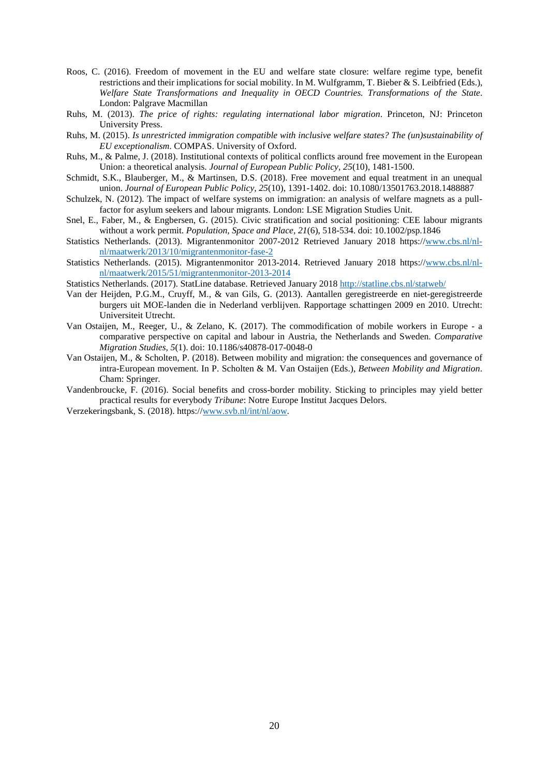- Roos, C. (2016). Freedom of movement in the EU and welfare state closure: welfare regime type, benefit restrictions and their implications for social mobility. In M. Wulfgramm, T. Bieber & S. Leibfried (Eds.), *Welfare State Transformations and Inequality in OECD Countries. Transformations of the State*. London: Palgrave Macmillan
- <span id="page-21-2"></span>Ruhs, M. (2013). *The price of rights: regulating international labor migration*. Princeton, NJ: Princeton University Press.
- <span id="page-21-3"></span>Ruhs, M. (2015). *Is unrestricted immigration compatible with inclusive welfare states? The (un)sustainability of EU exceptionalism*. COMPAS. University of Oxford.
- <span id="page-21-1"></span>Ruhs, M., & Palme, J. (2018). Institutional contexts of political conflicts around free movement in the European Union: a theoretical analysis. *Journal of European Public Policy, 25*(10), 1481-1500.
- <span id="page-21-0"></span>Schmidt, S.K., Blauberger, M., & Martinsen, D.S. (2018). Free movement and equal treatment in an unequal union. *Journal of European Public Policy, 25*(10), 1391-1402. doi: 10.1080/13501763.2018.1488887
- <span id="page-21-12"></span>Schulzek, N. (2012). The impact of welfare systems on immigration: an analysis of welfare magnets as a pullfactor for asylum seekers and labour migrants. London: LSE Migration Studies Unit.
- <span id="page-21-4"></span>Snel, E., Faber, M., & Engbersen, G. (2015). Civic stratification and social positioning: CEE labour migrants without a work permit. *Population, Space and Place, 21*(6), 518-534. doi: 10.1002/psp.1846
- <span id="page-21-10"></span>Statistics Netherlands. (2013). Migrantenmonitor 2007-2012 Retrieved January 2018 https:/[/www.cbs.nl/nl](http://www.cbs.nl/nl-nl/maatwerk/2013/10/migrantenmonitor-fase-2)[nl/maatwerk/2013/10/migrantenmonitor-fase-2](http://www.cbs.nl/nl-nl/maatwerk/2013/10/migrantenmonitor-fase-2)
- <span id="page-21-9"></span>Statistics Netherlands. (2015). Migrantenmonitor 2013-2014. Retrieved January 2018 https:/[/www.cbs.nl/nl](http://www.cbs.nl/nl-nl/maatwerk/2015/51/migrantenmonitor-2013-2014)[nl/maatwerk/2015/51/migrantenmonitor-2013-2014](http://www.cbs.nl/nl-nl/maatwerk/2015/51/migrantenmonitor-2013-2014)

<span id="page-21-8"></span>Statistics Netherlands. (2017). StatLine database. Retrieved January 2018<http://statline.cbs.nl/statweb/>

- <span id="page-21-11"></span>Van der Heijden, P.G.M., Cruyff, M., & van Gils, G. (2013). Aantallen geregistreerde en niet-geregistreerde burgers uit MOE-landen die in Nederland verblijven. Rapportage schattingen 2009 en 2010. Utrecht: Universiteit Utrecht.
- <span id="page-21-7"></span>Van Ostaijen, M., Reeger, U., & Zelano, K. (2017). The commodification of mobile workers in Europe - a comparative perspective on capital and labour in Austria, the Netherlands and Sweden. *Comparative Migration Studies, 5*(1). doi: 10.1186/s40878-017-0048-0
- <span id="page-21-6"></span>Van Ostaijen, M., & Scholten, P. (2018). Between mobility and migration: the consequences and governance of intra-European movement. In P. Scholten & M. Van Ostaijen (Eds.), *Between Mobility and Migration*. Cham: Springer.
- Vandenbroucke, F. (2016). Social benefits and cross-border mobility. Sticking to principles may yield better practical results for everybody *Tribune*: Notre Europe Institut Jacques Delors.

<span id="page-21-5"></span>Verzekeringsbank, S. (2018). https:/[/www.svb.nl/int/nl/aow.](http://www.svb.nl/int/nl/aow)